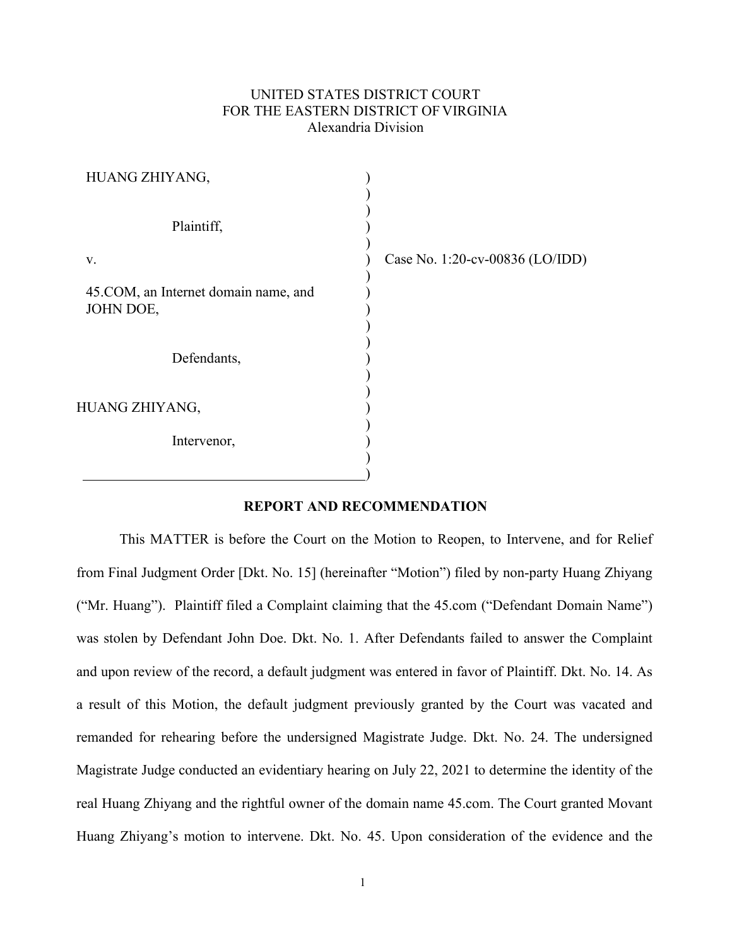# UNITED STATES DISTRICT COURT FOR THE EASTERN DISTRICT OF VIRGINIA Alexandria Division

| HUANG ZHIYANG,                                    |                                 |
|---------------------------------------------------|---------------------------------|
| Plaintiff,                                        |                                 |
| V.                                                | Case No. 1:20-cv-00836 (LO/IDD) |
| 45.COM, an Internet domain name, and<br>JOHN DOE, |                                 |
| Defendants,                                       |                                 |
| HUANG ZHIYANG,                                    |                                 |
| Intervenor,                                       |                                 |
|                                                   |                                 |

## **REPORT AND RECOMMENDATION**

This MATTER is before the Court on the Motion to Reopen, to Intervene, and for Relief from Final Judgment Order [Dkt. No. 15] (hereinafter "Motion") filed by non-party Huang Zhiyang ("Mr. Huang"). Plaintiff filed a Complaint claiming that the 45.com ("Defendant Domain Name") was stolen by Defendant John Doe. Dkt. No. 1. After Defendants failed to answer the Complaint and upon review of the record, a default judgment was entered in favor of Plaintiff. Dkt. No. 14. As a result of this Motion, the default judgment previously granted by the Court was vacated and remanded for rehearing before the undersigned Magistrate Judge. Dkt. No. 24. The undersigned Magistrate Judge conducted an evidentiary hearing on July 22, 2021 to determine the identity of the real Huang Zhiyang and the rightful owner of the domain name 45.com. The Court granted Movant Huang Zhiyang's motion to intervene. Dkt. No. 45. Upon consideration of the evidence and the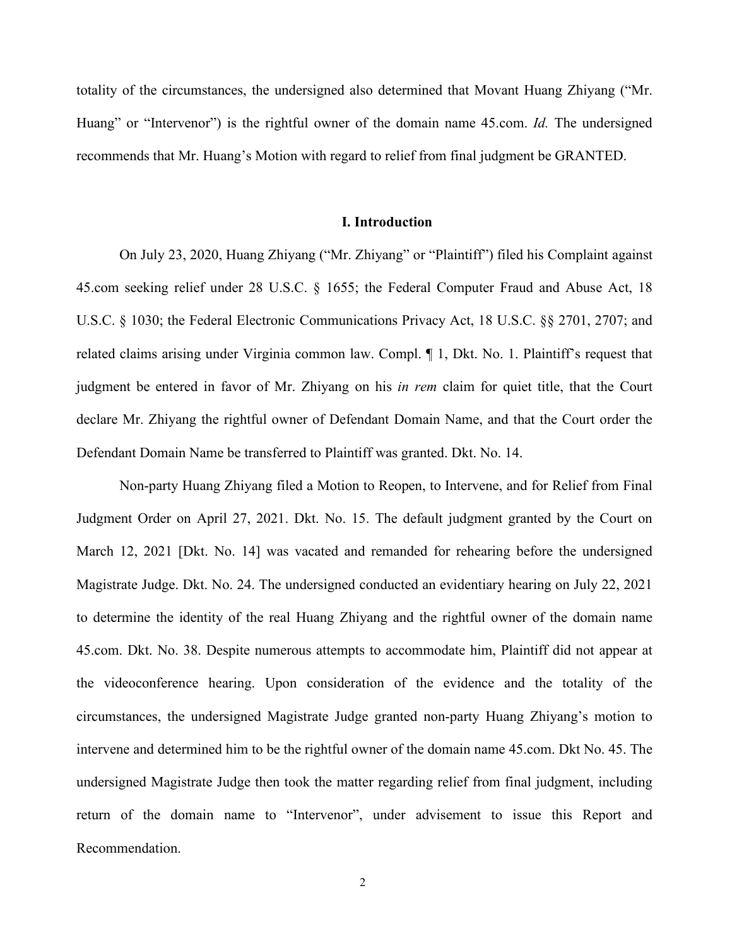totality of the circumstances, the undersigned also determined that Movant Huang Zhiyang ("Mr. Huang" or "Intervenor") is the rightful owner of the domain name 45.com. *Id.* The undersigned recommends that Mr. Huang's Motion with regard to relief from final judgment be GRANTED.

#### **I. Introduction**

On July 23, 2020, Huang Zhiyang ("Mr. Zhiyang" or "Plaintiff") filed his Complaint against 45.com seeking relief under 28 U.S.C. § 1655; the Federal Computer Fraud and Abuse Act, 18 U.S.C. § 1030; the Federal Electronic Communications Privacy Act, 18 U.S.C. §§ 2701, 2707; and related claims arising under Virginia common law. Compl. ¶ 1, Dkt. No. 1. Plaintiff's request that judgment be entered in favor of Mr. Zhiyang on his *in rem* claim for quiet title, that the Court declare Mr. Zhiyang the rightful owner of Defendant Domain Name, and that the Court order the Defendant Domain Name be transferred to Plaintiff was granted. Dkt. No. 14.

Non-party Huang Zhiyang filed a Motion to Reopen, to Intervene, and for Relief from Final Judgment Order on April 27, 2021. Dkt. No. 15. The default judgment granted by the Court on March 12, 2021 [Dkt. No. 14] was vacated and remanded for rehearing before the undersigned Magistrate Judge. Dkt. No. 24. The undersigned conducted an evidentiary hearing on July 22, 2021 to determine the identity of the real Huang Zhiyang and the rightful owner of the domain name 45.com. Dkt. No. 38. Despite numerous attempts to accommodate him, Plaintiff did not appear at the videoconference hearing. Upon consideration of the evidence and the totality of the circumstances, the undersigned Magistrate Judge granted non-party Huang Zhiyang's motion to intervene and determined him to be the rightful owner of the domain name 45.com. Dkt No. 45. The undersigned Magistrate Judge then took the matter regarding relief from final judgment, including return of the domain name to "Intervenor", under advisement to issue this Report and Recommendation.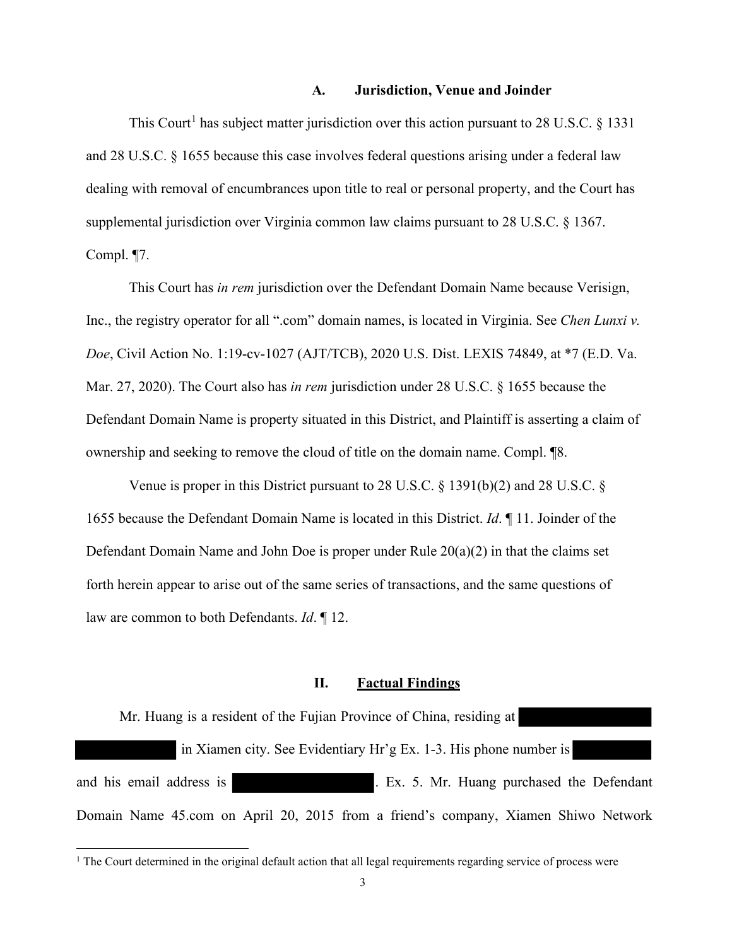#### **A. Jurisdiction, Venue and Joinder**

This Court<sup>[1](#page-2-0)</sup> has subject matter jurisdiction over this action pursuant to 28 U.S.C.  $\S$  1331 and 28 U.S.C. § 1655 because this case involves federal questions arising under a federal law dealing with removal of encumbrances upon title to real or personal property, and the Court has supplemental jurisdiction over Virginia common law claims pursuant to 28 U.S.C. § 1367. Compl. ¶7.

This Court has *in rem* jurisdiction over the Defendant Domain Name because Verisign, Inc., the registry operator for all ".com" domain names, is located in Virginia. See *Chen Lunxi v. Doe*, Civil Action No. 1:19-cv-1027 (AJT/TCB), 2020 U.S. Dist. LEXIS 74849, at \*7 (E.D. Va. Mar. 27, 2020). The Court also has *in rem* jurisdiction under 28 U.S.C. § 1655 because the Defendant Domain Name is property situated in this District, and Plaintiff is asserting a claim of ownership and seeking to remove the cloud of title on the domain name. Compl. ¶8.

Venue is proper in this District pursuant to 28 U.S.C. § 1391(b)(2) and 28 U.S.C. § 1655 because the Defendant Domain Name is located in this District. *Id*. ¶ 11. Joinder of the Defendant Domain Name and John Doe is proper under Rule 20(a)(2) in that the claims set forth herein appear to arise out of the same series of transactions, and the same questions of law are common to both Defendants. *Id*. ¶ 12.

#### **II. Factual Findings**

Mr. Huang is a resident of the Fujian Province of China, residing at in Xiamen city. See Evidentiary Hr'g Ex. 1-3. His phone number is and his email address is . Ex. 5. Mr. Huang purchased the Defendant Domain Name 45.com on April 20, 2015 from a friend's company, Xiamen Shiwo Network

<span id="page-2-0"></span><sup>&</sup>lt;sup>1</sup> The Court determined in the original default action that all legal requirements regarding service of process were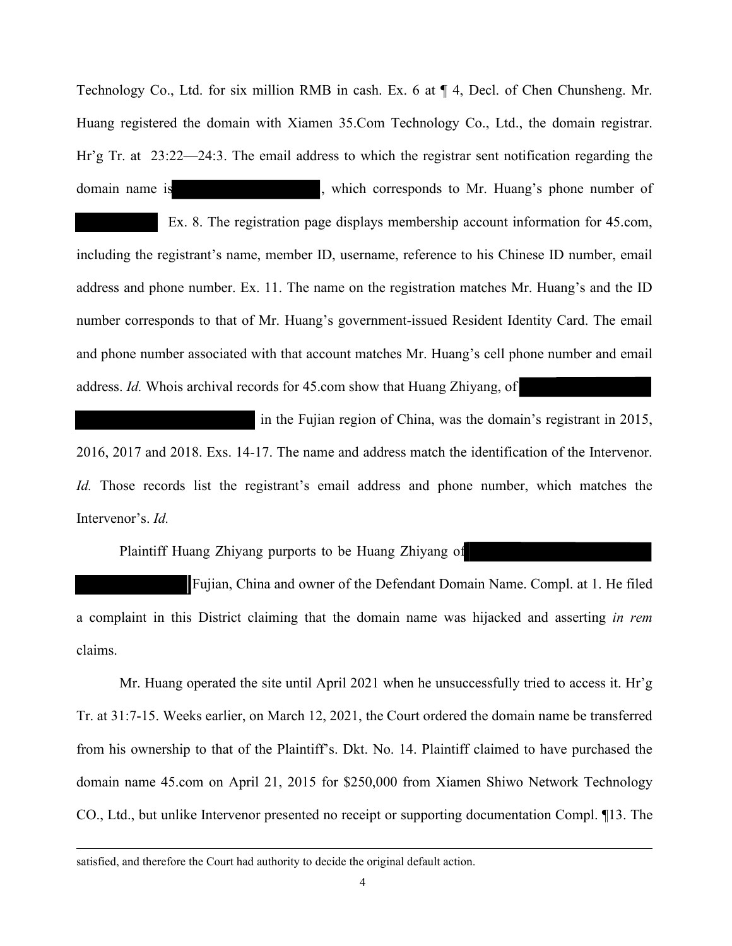Technology Co., Ltd. for six million RMB in cash. Ex. 6 at ¶ 4, Decl. of Chen Chunsheng. Mr. Huang registered the domain with Xiamen 35.Com Technology Co., Ltd., the domain registrar. Hr'g Tr. at 23:22—24:3. The email address to which the registrar sent notification regarding the domain name is extended to the second which corresponds to Mr. Huang's phone number of

 Ex. 8. The registration page displays membership account information for 45.com, including the registrant's name, member ID, username, reference to his Chinese ID number, email address and phone number. Ex. 11. The name on the registration matches Mr. Huang's and the ID number corresponds to that of Mr. Huang's government-issued Resident Identity Card. The email and phone number associated with that account matches Mr. Huang's cell phone number and email address. *Id.* Whois archival records for 45.com show that Huang Zhiyang, of

in the Fujian region of China, was the domain's registrant in 2015, 2016, 2017 and 2018. Exs. 14-17. The name and address match the identification of the Intervenor. *Id.* Those records list the registrant's email address and phone number, which matches the Intervenor's. *Id.*

Plaintiff Huang Zhiyang purports to be Huang Zhiyang of

Fujian, China and owner of the Defendant Domain Name. Compl. at 1. He filed a complaint in this District claiming that the domain name was hijacked and asserting *in rem* claims.

Mr. Huang operated the site until April 2021 when he unsuccessfully tried to access it. Hr'g Tr. at 31:7-15. Weeks earlier, on March 12, 2021, the Court ordered the domain name be transferred from his ownership to that of the Plaintiff's. Dkt. No. 14. Plaintiff claimed to have purchased the domain name 45.com on April 21, 2015 for \$250,000 from Xiamen Shiwo Network Technology CO., Ltd., but unlike Intervenor presented no receipt or supporting documentation Compl. ¶13. The

satisfied, and therefore the Court had authority to decide the original default action.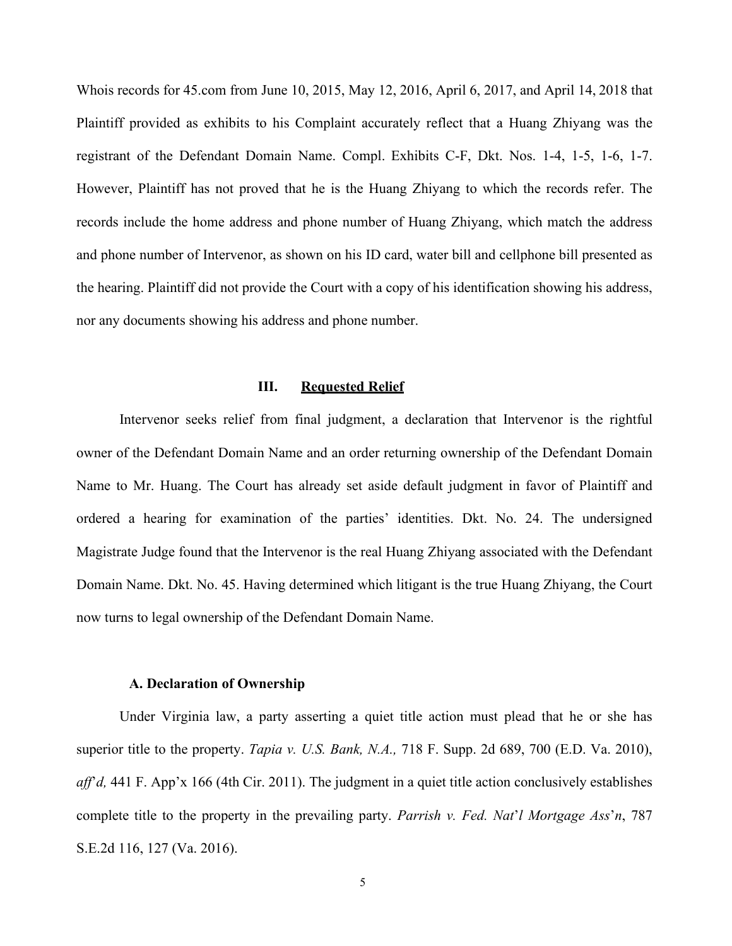Whois records for 45.com from June 10, 2015, May 12, 2016, April 6, 2017, and April 14, 2018 that Plaintiff provided as exhibits to his Complaint accurately reflect that a Huang Zhiyang was the registrant of the Defendant Domain Name. Compl. Exhibits C-F, Dkt. Nos. 1-4, 1-5, 1-6, 1-7. However, Plaintiff has not proved that he is the Huang Zhiyang to which the records refer. The records include the home address and phone number of Huang Zhiyang, which match the address and phone number of Intervenor, as shown on his ID card, water bill and cellphone bill presented as the hearing. Plaintiff did not provide the Court with a copy of his identification showing his address, nor any documents showing his address and phone number.

#### **III. Requested Relief**

Intervenor seeks relief from final judgment, a declaration that Intervenor is the rightful owner of the Defendant Domain Name and an order returning ownership of the Defendant Domain Name to Mr. Huang. The Court has already set aside default judgment in favor of Plaintiff and ordered a hearing for examination of the parties' identities. Dkt. No. 24. The undersigned Magistrate Judge found that the Intervenor is the real Huang Zhiyang associated with the Defendant Domain Name. Dkt. No. 45. Having determined which litigant is the true Huang Zhiyang, the Court now turns to legal ownership of the Defendant Domain Name.

### **A. Declaration of Ownership**

Under Virginia law, a party asserting a quiet title action must plead that he or she has superior title to the property. *Tapia v. U.S. Bank, N.A.,* 718 F. Supp. 2d 689, 700 (E.D. Va. 2010), *aff*'*d,* 441 F. App'x 166 (4th Cir. 2011). The judgment in a quiet title action conclusively establishes complete title to the property in the prevailing party. *Parrish v. Fed. Nat*'*l Mortgage Ass*'*n*, 787 S.E.2d 116, 127 (Va. 2016).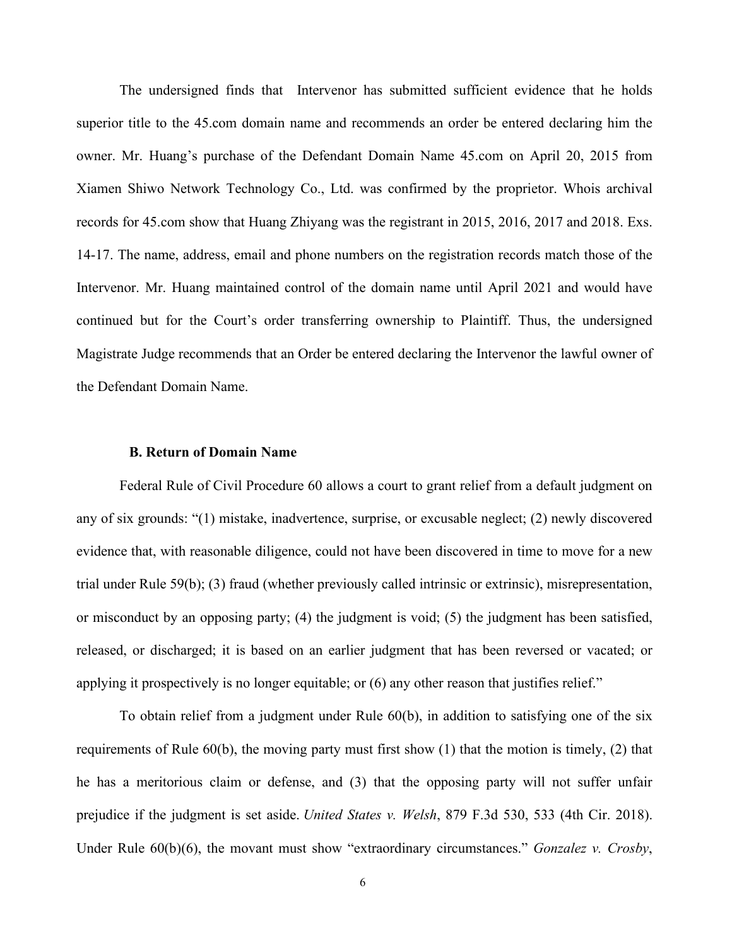The undersigned finds that Intervenor has submitted sufficient evidence that he holds superior title to the 45.com domain name and recommends an order be entered declaring him the owner. Mr. Huang's purchase of the Defendant Domain Name 45.com on April 20, 2015 from Xiamen Shiwo Network Technology Co., Ltd. was confirmed by the proprietor. Whois archival records for 45.com show that Huang Zhiyang was the registrant in 2015, 2016, 2017 and 2018. Exs. 14-17. The name, address, email and phone numbers on the registration records match those of the Intervenor. Mr. Huang maintained control of the domain name until April 2021 and would have continued but for the Court's order transferring ownership to Plaintiff. Thus, the undersigned Magistrate Judge recommends that an Order be entered declaring the Intervenor the lawful owner of the Defendant Domain Name.

#### **B. Return of Domain Name**

Federal Rule of Civil Procedure 60 allows a court to grant relief from a default judgment on any of six grounds: "(1) mistake, inadvertence, surprise, or excusable neglect; (2) newly discovered evidence that, with reasonable diligence, could not have been discovered in time to move for a new trial under Rule 59(b); (3) fraud (whether previously called intrinsic or extrinsic), misrepresentation, or misconduct by an opposing party; (4) the judgment is void; (5) the judgment has been satisfied, released, or discharged; it is based on an earlier judgment that has been reversed or vacated; or applying it prospectively is no longer equitable; or (6) any other reason that justifies relief."

To obtain relief from a judgment under Rule 60(b), in addition to satisfying one of the six requirements of Rule 60(b), the moving party must first show (1) that the motion is timely, (2) that he has a meritorious claim or defense, and (3) that the opposing party will not suffer unfair prejudice if the judgment is set aside. *United States v. Welsh*, 879 F.3d 530, 533 (4th Cir. 2018). Under Rule 60(b)(6), the movant must show "extraordinary circumstances." *Gonzalez v. Crosby*,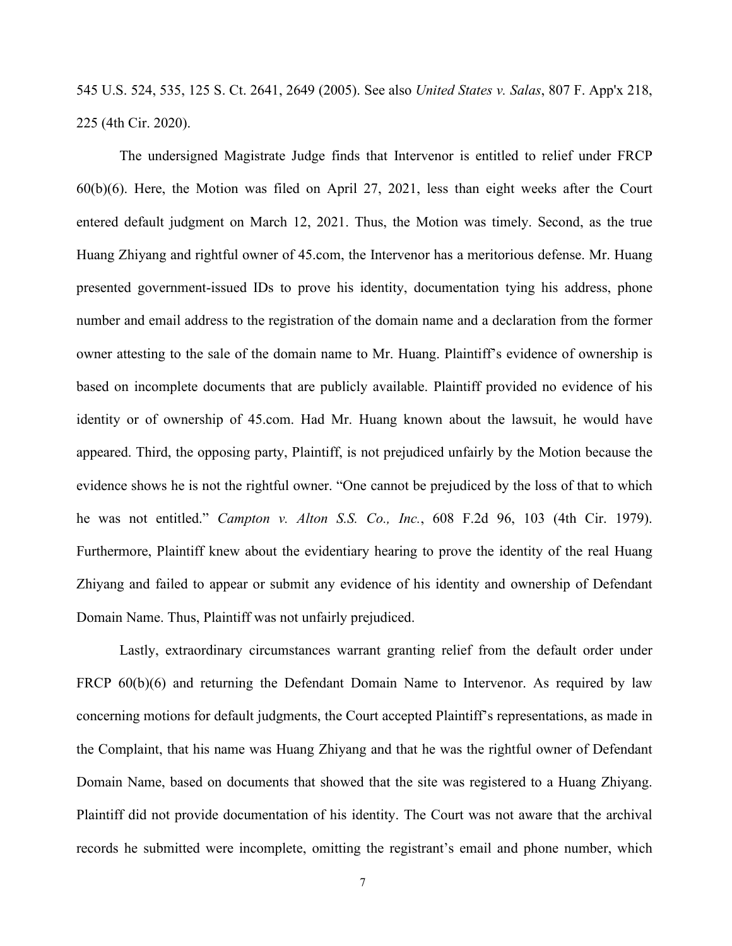545 U.S. 524, 535, 125 S. Ct. 2641, 2649 (2005). See also *United States v. Salas*, 807 F. App'x 218, 225 (4th Cir. 2020).

The undersigned Magistrate Judge finds that Intervenor is entitled to relief under FRCP 60(b)(6). Here, the Motion was filed on April 27, 2021, less than eight weeks after the Court entered default judgment on March 12, 2021. Thus, the Motion was timely. Second, as the true Huang Zhiyang and rightful owner of 45.com, the Intervenor has a meritorious defense. Mr. Huang presented government-issued IDs to prove his identity, documentation tying his address, phone number and email address to the registration of the domain name and a declaration from the former owner attesting to the sale of the domain name to Mr. Huang. Plaintiff's evidence of ownership is based on incomplete documents that are publicly available. Plaintiff provided no evidence of his identity or of ownership of 45.com. Had Mr. Huang known about the lawsuit, he would have appeared. Third, the opposing party, Plaintiff, is not prejudiced unfairly by the Motion because the evidence shows he is not the rightful owner. "One cannot be prejudiced by the loss of that to which he was not entitled." *Campton v. Alton S.S. Co., Inc.*, 608 F.2d 96, 103 (4th Cir. 1979). Furthermore, Plaintiff knew about the evidentiary hearing to prove the identity of the real Huang Zhiyang and failed to appear or submit any evidence of his identity and ownership of Defendant Domain Name. Thus, Plaintiff was not unfairly prejudiced.

Lastly, extraordinary circumstances warrant granting relief from the default order under FRCP 60(b)(6) and returning the Defendant Domain Name to Intervenor. As required by law concerning motions for default judgments, the Court accepted Plaintiff's representations, as made in the Complaint, that his name was Huang Zhiyang and that he was the rightful owner of Defendant Domain Name, based on documents that showed that the site was registered to a Huang Zhiyang. Plaintiff did not provide documentation of his identity. The Court was not aware that the archival records he submitted were incomplete, omitting the registrant's email and phone number, which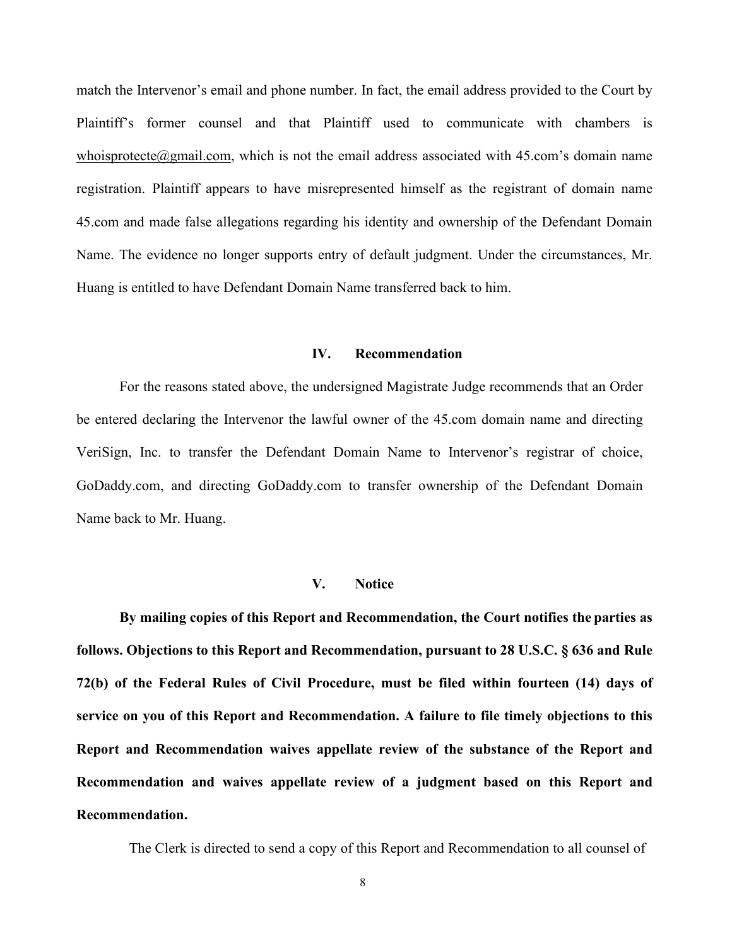match the Intervenor's email and phone number. In fact, the email address provided to the Court by Plaintiff's former counsel and that Plaintiff used to communicate with chambers is [whoisprotecte@gmail.com,](mailto:whoisprotecte@gmail.com) which is not the email address associated with 45.com's domain name registration. Plaintiff appears to have misrepresented himself as the registrant of domain name 45.com and made false allegations regarding his identity and ownership of the Defendant Domain Name. The evidence no longer supports entry of default judgment. Under the circumstances, Mr. Huang is entitled to have Defendant Domain Name transferred back to him.

### **IV. Recommendation**

For the reasons stated above, the undersigned Magistrate Judge recommends that an Order be entered declaring the Intervenor the lawful owner of the 45.com domain name and directing VeriSign, Inc. to transfer the Defendant Domain Name to Intervenor's registrar of choice, GoDaddy.com, and directing GoDaddy.com to transfer ownership of the Defendant Domain Name back to Mr. Huang.

#### **V. Notice**

**By mailing copies of this Report and Recommendation, the Court notifies the parties as follows. Objections to this Report and Recommendation, pursuant to 28 U.S.C. § 636 and Rule 72(b) of the Federal Rules of Civil Procedure, must be filed within fourteen (14) days of service on you of this Report and Recommendation. A failure to file timely objections to this Report and Recommendation waives appellate review of the substance of the Report and Recommendation and waives appellate review of a judgment based on this Report and Recommendation.**

The Clerk is directed to send a copy of this Report and Recommendation to all counsel of